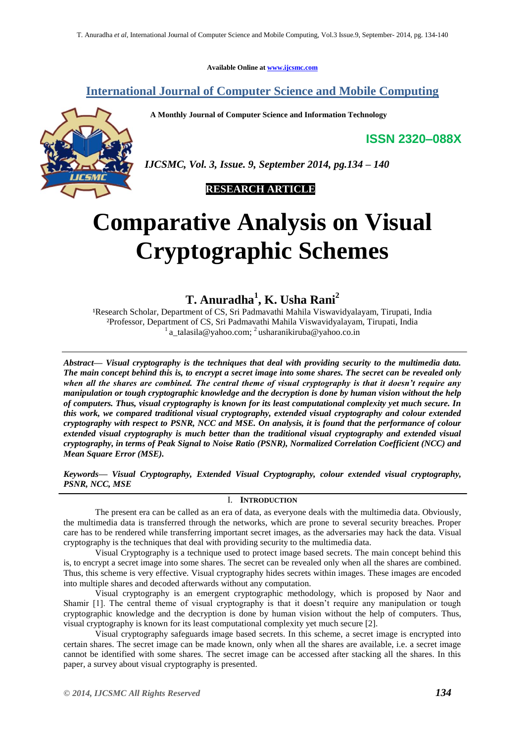**Available Online at [www.ijcsmc.com](http://www.ijcsmc.com/)**

## **International Journal of Computer Science and Mobile Computing**

 **A Monthly Journal of Computer Science and Information Technology**

**ISSN 2320–088X**



*IJCSMC, Vol. 3, Issue. 9, September 2014, pg.134 – 140*

 **RESEARCH ARTICLE**

# **Comparative Analysis on Visual Cryptographic Schemes**

**T. Anuradha<sup>1</sup> , K. Usha Rani<sup>2</sup>**

<sup>1</sup>Research Scholar, Department of CS, Sri Padmavathi Mahila Viswavidyalayam, Tirupati, India ²Professor, Department of CS, Sri Padmavathi Mahila Viswavidyalayam, Tirupati, India  $\frac{1}{a}$ talasila@yahoo.com;  $\frac{2}{a}$ usharanikiruba@yahoo.co.in

*Abstract— Visual cryptography is the techniques that deal with providing security to the multimedia data. The main concept behind this is, to encrypt a secret image into some shares. The secret can be revealed only when all the shares are combined. The central theme of visual cryptography is that it doesn't require any manipulation or tough cryptographic knowledge and the decryption is done by human vision without the help of computers. Thus, visual cryptography is known for its least computational complexity yet much secure. In this work, we compared traditional visual cryptography, extended visual cryptography and colour extended cryptography with respect to PSNR, NCC and MSE. On analysis, it is found that the performance of colour extended visual cryptography is much better than the traditional visual cryptography and extended visual cryptography, in terms of Peak Signal to Noise Ratio (PSNR), Normalized Correlation Coefficient (NCC) and Mean Square Error (MSE).*

*Keywords— Visual Cryptography, Extended Visual Cryptography, colour extended visual cryptography, PSNR, NCC, MSE*

## I. **INTRODUCTION**

The present era can be called as an era of data, as everyone deals with the multimedia data. Obviously, the multimedia data is transferred through the networks, which are prone to several security breaches. Proper care has to be rendered while transferring important secret images, as the adversaries may hack the data. Visual cryptography is the techniques that deal with providing security to the multimedia data.

Visual Cryptography is a technique used to protect image based secrets. The main concept behind this is, to encrypt a secret image into some shares. The secret can be revealed only when all the shares are combined. Thus, this scheme is very effective. Visual cryptography hides secrets within images. These images are encoded into multiple shares and decoded afterwards without any computation.

Visual cryptography is an emergent cryptographic methodology, which is proposed by Naor and Shamir [1]. The central theme of visual cryptography is that it doesn't require any manipulation or tough cryptographic knowledge and the decryption is done by human vision without the help of computers. Thus, visual cryptography is known for its least computational complexity yet much secure [2].

Visual cryptography safeguards image based secrets. In this scheme, a secret image is encrypted into certain shares. The secret image can be made known, only when all the shares are available, i.e. a secret image cannot be identified with some shares. The secret image can be accessed after stacking all the shares. In this paper, a survey about visual cryptography is presented.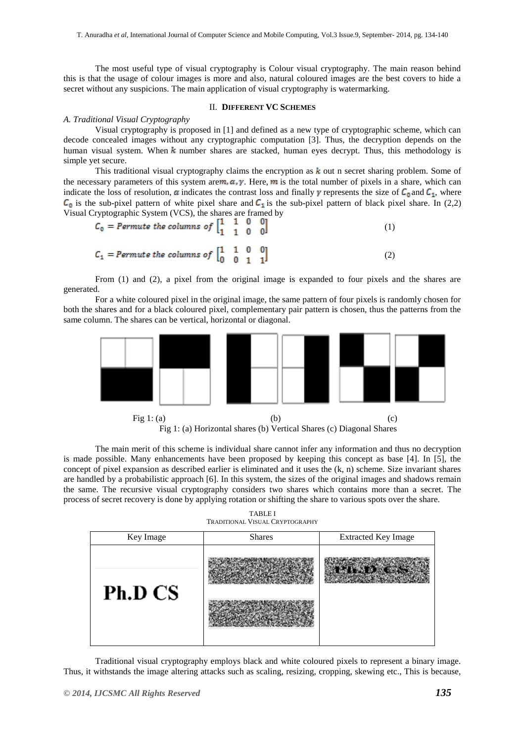The most useful type of visual cryptography is Colour visual cryptography. The main reason behind this is that the usage of colour images is more and also, natural coloured images are the best covers to hide a secret without any suspicions. The main application of visual cryptography is watermarking.

## II. **DIFFERENT VC SCHEMES**

#### *A. Traditional Visual Cryptography*

Visual cryptography is proposed in [1] and defined as a new type of cryptographic scheme, which can decode concealed images without any cryptographic computation [3]. Thus, the decryption depends on the human visual system. When  $k$  number shares are stacked, human eyes decrypt. Thus, this methodology is simple yet secure.

This traditional visual cryptography claims the encryption as  $k$  out n secret sharing problem. Some of the necessary parameters of this system are  $m, \alpha, \gamma$ . Here, m is the total number of pixels in a share, which can indicate the loss of resolution,  $\alpha$  indicates the contrast loss and finally  $\gamma$  represents the size of  $C_0$  and  $C_1$ , where  $C_0$  is the sub-pixel pattern of white pixel share and  $C_1$  is the sub-pixel pattern of black pixel share. In (2,2) Visual Cryptographic System (VCS), the shares are framed by

| $C_0$ = Permute the columns of $\begin{bmatrix} 1 & 1 & 0 & 0 \\ 1 & 1 & 0 & 0 \end{bmatrix}$ |  |     |
|-----------------------------------------------------------------------------------------------|--|-----|
| $C_1$ = Permute the columns of $\begin{bmatrix} 1 & 1 & 0 & 0 \\ 0 & 0 & 1 & 1 \end{bmatrix}$ |  | (2) |

From (1) and (2), a pixel from the original image is expanded to four pixels and the shares are generated.

For a white coloured pixel in the original image, the same pattern of four pixels is randomly chosen for both the shares and for a black coloured pixel, complementary pair pattern is chosen, thus the patterns from the same column. The shares can be vertical, horizontal or diagonal.



Fig 1: (a) Horizontal shares (b) Vertical Shares (c) Diagonal Shares

The main merit of this scheme is individual share cannot infer any information and thus no decryption is made possible. Many enhancements have been proposed by keeping this concept as base [4]. In [5], the concept of pixel expansion as described earlier is eliminated and it uses the (k, n) scheme. Size invariant shares are handled by a probabilistic approach [6]. In this system, the sizes of the original images and shadows remain the same. The recursive visual cryptography considers two shares which contains more than a secret. The process of secret recovery is done by applying rotation or shifting the share to various spots over the share.

| Key Image | <b>Shares</b> | <b>Extracted Key Image</b> |  |  |
|-----------|---------------|----------------------------|--|--|
| Ph.D CS   |               |                            |  |  |

TABLE I TRADITIONAL VISUAL CRYPTOGRAPHY

Traditional visual cryptography employs black and white coloured pixels to represent a binary image. Thus, it withstands the image altering attacks such as scaling, resizing, cropping, skewing etc., This is because,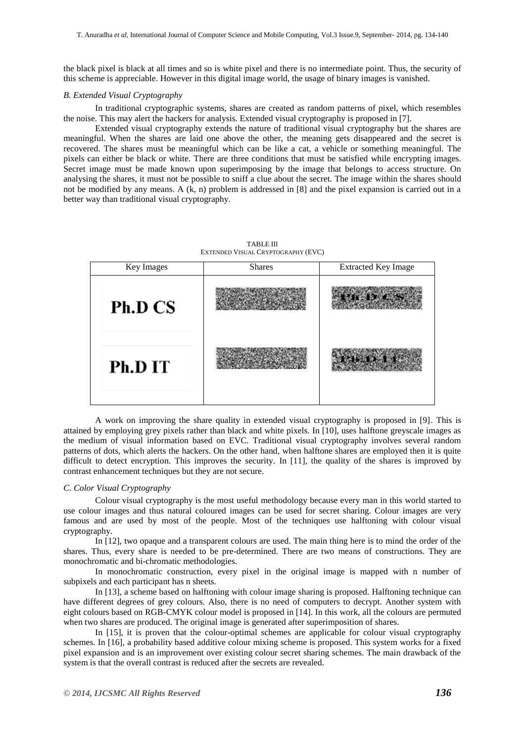the black pixel is black at all times and so is white pixel and there is no intermediate point. Thus, the security of this scheme is appreciable. However in this digital image world, the usage of binary images is vanished.

#### *B. Extended Visual Cryptography*

In traditional cryptographic systems, shares are created as random patterns of pixel, which resembles the noise. This may alert the hackers for analysis. Extended visual cryptography is proposed in [7].

Extended visual cryptography extends the nature of traditional visual cryptography but the shares are meaningful. When the shares are laid one above the other, the meaning gets disappeared and the secret is recovered. The shares must be meaningful which can be like a cat, a vehicle or something meaningful. The pixels can either be black or white. There are three conditions that must be satisfied while encrypting images. Secret image must be made known upon superimposing by the image that belongs to access structure. On analysing the shares, it must not be possible to sniff a clue about the secret. The image within the shares should not be modified by any means. A  $(k, n)$  problem is addressed in [8] and the pixel expansion is carried out in a better way than traditional visual cryptography.

> TABLE III EXTENDED VISUAL CRYPTOGRAPHY (EVC)

| Key Images | <b>Shares</b> | <b>Extracted Key Image</b> |  |  |
|------------|---------------|----------------------------|--|--|
| Ph.D CS    |               |                            |  |  |
| Ph.D IT    |               |                            |  |  |

A work on improving the share quality in extended visual cryptography is proposed in [9]. This is attained by employing grey pixels rather than black and white pixels. In [10], uses halftone greyscale images as the medium of visual information based on EVC. Traditional visual cryptography involves several random patterns of dots, which alerts the hackers. On the other hand, when halftone shares are employed then it is quite difficult to detect encryption. This improves the security. In [11], the quality of the shares is improved by contrast enhancement techniques but they are not secure.

## *C. Color Visual Cryptography*

Colour visual cryptography is the most useful methodology because every man in this world started to use colour images and thus natural coloured images can be used for secret sharing. Colour images are very famous and are used by most of the people. Most of the techniques use halftoning with colour visual cryptography.

In [12], two opaque and a transparent colours are used. The main thing here is to mind the order of the shares. Thus, every share is needed to be pre-determined. There are two means of constructions. They are monochromatic and bi-chromatic methodologies.

In monochromatic construction, every pixel in the original image is mapped with n number of subpixels and each participant has n sheets.

In [13], a scheme based on halftoning with colour image sharing is proposed. Halftoning technique can have different degrees of grey colours. Also, there is no need of computers to decrypt. Another system with eight colours based on RGB-CMYK colour model is proposed in [14]. In this work, all the colours are permuted when two shares are produced. The original image is generated after superimposition of shares.

In [15], it is proven that the colour-optimal schemes are applicable for colour visual cryptography schemes. In [16], a probability based additive colour mixing scheme is proposed. This system works for a fixed pixel expansion and is an improvement over existing colour secret sharing schemes. The main drawback of the system is that the overall contrast is reduced after the secrets are revealed.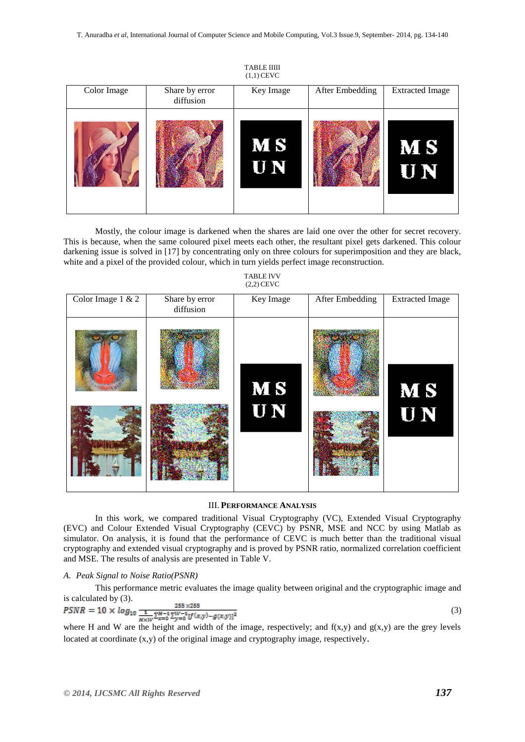TABLE IIIII  $(1,1)$  CEVC

|             |                | $(1, 1)$ $\sim$        |                 |                        |
|-------------|----------------|------------------------|-----------------|------------------------|
| Color Image | Share by error | Key Image              | After Embedding | <b>Extracted Image</b> |
|             | diffusion      |                        |                 |                        |
|             |                | <b>MS</b><br><b>UN</b> |                 | <b>MS</b><br>UN        |

Mostly, the colour image is darkened when the shares are laid one over the other for secret recovery. This is because, when the same coloured pixel meets each other, the resultant pixel gets darkened. This colour darkening issue is solved in [17] by concentrating only on three colours for superimposition and they are black, white and a pixel of the provided colour, which in turn yields perfect image reconstruction.

#### TABLE IVV (2,2) CEVC

| Color Image 1 & 2 | Share by error | Key Image | After Embedding | <b>Extracted Image</b> |
|-------------------|----------------|-----------|-----------------|------------------------|
|                   | diffusion      |           |                 |                        |
|                   |                | <b>MS</b> |                 | <b>MS</b>              |
|                   |                | <b>UN</b> |                 | <b>UN</b>              |

## III. **PERFORMANCE ANALYSIS**

In this work, we compared traditional Visual Cryptography (VC), Extended Visual Cryptography (EVC) and Colour Extended Visual Cryptography (CEVC) by PSNR, MSE and NCC by using Matlab as simulator. On analysis, it is found that the performance of CEVC is much better than the traditional visual cryptography and extended visual cryptography and is proved by PSNR ratio, normalized correlation coefficient and MSE. The results of analysis are presented in Table V.

## *A. Peak Signal to Noise Ratio(PSNR)*

This performance metric evaluates the image quality between original and the cryptographic image and is calculated by (3).

$$
PSNR = 10 \times \log_{10} \frac{1}{\frac{1}{H \times W} \sum_{x=0}^{H-1} \sum_{y'=0}^{y_1-1} [f(x,y) - g(x,y)]^2}
$$
(3)

where H and W are the height and width of the image, respectively; and  $f(x,y)$  and  $g(x,y)$  are the grey levels located at coordinate (x,y) of the original image and cryptography image, respectively.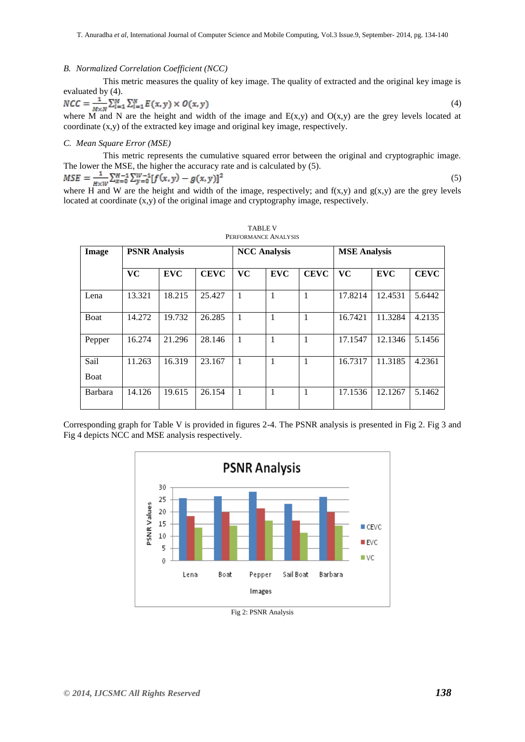#### *B. Normalized Correlation Coefficient (NCC)*

This metric measures the quality of key image. The quality of extracted and the original key image is evaluated by (4).

$$
NCC = \frac{1}{M \times N} \sum_{i=1}^{M} \sum_{i=1}^{N} E(x, y) \times O(x, y)
$$
\n
$$
(4)
$$

where M and N are the height and width of the image and  $E(x,y)$  and  $O(x,y)$  are the grey levels located at coordinate (x,y) of the extracted key image and original key image, respectively.

## *C. Mean Square Error (MSE)*

This metric represents the cumulative squared error between the original and cryptographic image. The lower the MSE, the higher the accuracy rate and is calculated by (5).

$$
MSE = \frac{1}{w \cdot w} \sum_{x=0}^{H-1} \sum_{y=0}^{W-1} [f(x, y) - g(x, y)]^2
$$
\n(5)

where H and W are the height and width of the image, respectively; and  $f(x,y)$  and  $g(x,y)$  are the grey levels located at coordinate (x,y) of the original image and cryptography image, respectively.

| Image       | <b>PSNR Analysis</b><br><b>NCC Analysis</b> |            |             |                | <b>MSE</b> Analysis |             |           |            |             |
|-------------|---------------------------------------------|------------|-------------|----------------|---------------------|-------------|-----------|------------|-------------|
|             | <b>VC</b>                                   | <b>EVC</b> | <b>CEVC</b> | <b>VC</b>      | <b>EVC</b>          | <b>CEVC</b> | <b>VC</b> | <b>EVC</b> | <b>CEVC</b> |
|             |                                             |            |             |                |                     |             |           |            |             |
| Lena        | 13.321                                      | 18.215     | 25.427      | $\overline{1}$ | $\mathbf{1}$        | 1           | 17.8214   | 12.4531    | 5.6442      |
| <b>Boat</b> | 14.272                                      | 19.732     | 26.285      | $\overline{1}$ | 1                   | 1           | 16.7421   | 11.3284    | 4.2135      |
| Pepper      | 16.274                                      | 21.296     | 28.146      | $\overline{1}$ | 1                   | 1           | 17.1547   | 12.1346    | 5.1456      |
| Sail        | 11.263                                      | 16.319     | 23.167      | $\mathbf{1}$   | 1                   | 1           | 16.7317   | 11.3185    | 4.2361      |
| Boat        |                                             |            |             |                |                     |             |           |            |             |
| Barbara     | 14.126                                      | 19.615     | 26.154      | $\mathbf{1}$   | 1                   | 1           | 17.1536   | 12.1267    | 5.1462      |

TABLE V PERFORMANCE ANALYSIS

Corresponding graph for Table V is provided in figures 2-4. The PSNR analysis is presented in Fig 2. Fig 3 and Fig 4 depicts NCC and MSE analysis respectively.



Fig 2: PSNR Analysis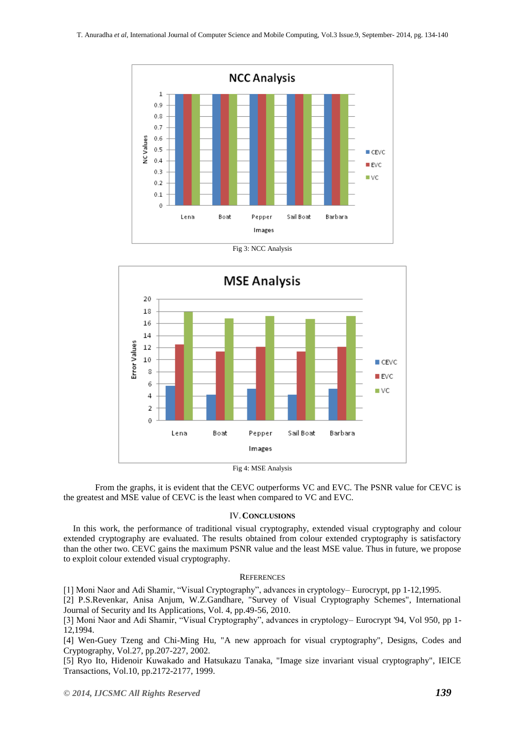

Fig 3: NCC Analysis



Fig 4: MSE Analysis

From the graphs, it is evident that the CEVC outperforms VC and EVC. The PSNR value for CEVC is the greatest and MSE value of CEVC is the least when compared to VC and EVC.

#### IV.**CONCLUSIONS**

In this work, the performance of traditional visual cryptography, extended visual cryptography and colour extended cryptography are evaluated. The results obtained from colour extended cryptography is satisfactory than the other two. CEVC gains the maximum PSNR value and the least MSE value. Thus in future, we propose to exploit colour extended visual cryptography.

## **REFERENCES**

[1] Moni Naor and Adi Shamir, "Visual Cryptography", advances in cryptology– Eurocrypt, pp 1-12,1995.

[2] P.S.Revenkar, Anisa Anjum, W.Z.Gandhare, "Survey of Visual Cryptography Schemes", International Journal of Security and Its Applications, Vol. 4, pp.49-56, 2010.

[3] Moni Naor and Adi Shamir, "Visual Cryptography", advances in cryptology– Eurocrypt '94, Vol 950, pp 1- 12,1994.

[4] Wen-Guey Tzeng and Chi-Ming Hu, "A new approach for visual cryptography", Designs, Codes and Cryptography, Vol.27, pp.207-227, 2002.

[5] Ryo Ito, Hidenoir Kuwakado and Hatsukazu Tanaka, "Image size invariant visual cryptography", IEICE Transactions, Vol.10, pp.2172-2177, 1999.